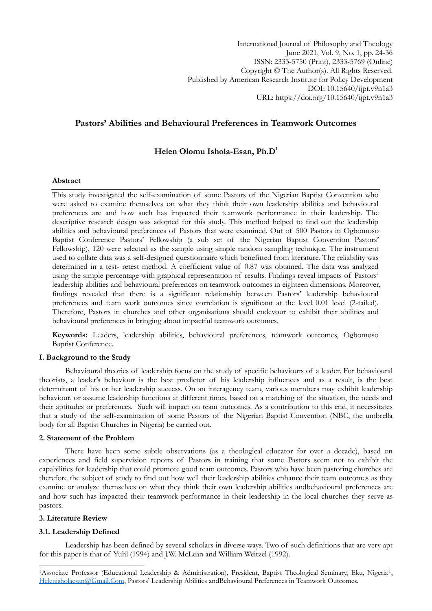International Journal of Philosophy and Theology June 2021, Vol. 9, No. 1, pp. 24-36 ISSN: 2333-5750 (Print), 2333-5769 (Online) Copyright © The Author(s). All Rights Reserved. Published by American Research Institute for Policy Development DOI: 10.15640/ijpt.v9n1a3 URL: https://doi.org/10.15640/ijpt.v9n1a3

## **Pastors' Abilities and Behavioural Preferences in Teamwork Outcomes**

## **Helen Olomu Ishola-Esan, Ph.D<sup>1</sup>**

#### **Abstract**

This study investigated the self-examination of some Pastors of the Nigerian Baptist Convention who were asked to examine themselves on what they think their own leadership abilities and behavioural preferences are and how such has impacted their teamwork performance in their leadership. The descriptive research design was adopted for this study. This method helped to find out the leadership abilities and behavioural preferences of Pastors that were examined. Out of 500 Pastors in Ogbomoso Baptist Conference Pastors' Fellowship (a sub set of the Nigerian Baptist Convention Pastors' Fellowship), 120 were selected as the sample using simple random sampling technique. The instrument used to collate data was a self-designed questionnaire which benefitted from literature. The reliability was determined in a test- retest method. A coefficient value of 0.87 was obtained. The data was analyzed using the simple percentage with graphical representation of results. Findings reveal impacts of Pastors" leadership abilities and behavioural preferences on teamwork outcomes in eighteen dimensions. Moreover, findings revealed that there is a significant relationship between Pastors' leadership behavioural preferences and team work outcomes since correlation is significant at the level 0.01 level (2-tailed). Therefore, Pastors in churches and other organisations should endevour to exhibit their abilities and behavioural preferences in bringing about impactful teamwork outcomes.

**Keywords:** Leaders, leadership abilities, behavioural preferences, teamwork outcomes, Ogbomoso Baptist Conference.

#### **I. Background to the Study**

Behavioural theories of leadership focus on the study of specific behaviours of a leader. For behavioural theorists, a leader"s behaviour is the best predictor of his leadership influences and as a result, is the best determinant of his or her leadership success. On an interagency team, various members may exhibit leadership behaviour, or assume leadership functions at different times, based on a matching of the situation, the needs and their aptitudes or preferences. Such will impact on team outcomes. As a contribution to this end, it necessitates that a study of the self-examination of some Pastors of the Nigerian Baptist Convention (NBC, the umbrella body for all Baptist Churches in Nigeria) be carried out.

#### **2. Statement of the Problem**

There have been some subtle observations (as a theological educator for over a decade), based on experiences and field supervision reports of Pastors in training that some Pastors seem not to exhibit the capabilities for leadership that could promote good team outcomes. Pastors who have been pastoring churches are therefore the subject of study to find out how well their leadership abilities enhance their team outcomes as they examine or analyze themselves on what they think their own leadership abilities andbehavioural preferences are and how such has impacted their teamwork performance in their leadership in the local churches they serve as pastors.

#### **3. Literature Review**

1

#### **3.1. Leadership Defined**

Leadership has been defined by several scholars in diverse ways. Two of such definitions that are very apt for this paper is that of Yuhl (1994) and J.W. McLean and William Weitzel (1992).

<sup>&</sup>lt;sup>1</sup> Associate Professor (Educational Leadership & Administration), President, Baptist Theological Seminary, Eku, Nigeria<sup>1</sup>, [Helenisholaesan@Gmail.Com](mailto:helenisholaesan@gmail.com), Pastors" Leadership Abilities andBehavioural Preferences in Teamwork Outcomes.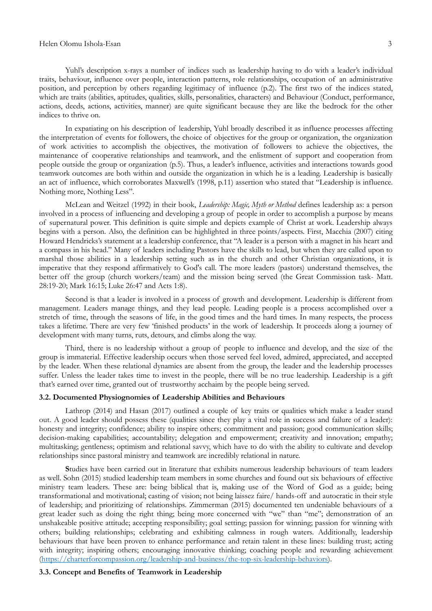#### Helen Olomu Ishola-Esan 3

Yuhl's description x-rays a number of indices such as leadership having to do with a leader's individual traits, behaviour, influence over people, interaction patterns, role relationships, occupation of an administrative position, and perception by others regarding legitimacy of influence (p.2). The first two of the indices stated, which are traits (abilities, aptitudes, qualities, skills, personalities, characters) and Behaviour (Conduct, performance, actions, deeds, actions, activities, manner) are quite significant because they are like the bedrock for the other indices to thrive on.

In expatiating on his description of leadership, Yuhl broadly described it as influence processes affecting the interpretation of events for followers, the choice of objectives for the group or organization, the organization of work activities to accomplish the objectives, the motivation of followers to achieve the objectives, the maintenance of cooperative relationships and teamwork, and the enlistment of support and cooperation from people outside the group or organization (p.5). Thus, a leader"s influence, activities and interactions towards good teamwork outcomes are both within and outside the organization in which he is a leading. Leadership is basically an act of influence, which corroborates Maxwell's (1998, p.11) assertion who stated that "Leadership is influence. Nothing more, Nothing Less".

McLean and Weitzel (1992) in their book, *Leadership: Magic, Myth or Method* defines leadership as: a person involved in a process of influencing and developing a group of people in order to accomplish a purpose by means of supernatural power. This definition is quite simple and depicts example of Christ at work. Leadership always begins with a person. Also, the definition can be highlighted in three points/aspects. First, Macchia (2007) citing Howard Hendricks's statement at a leadership conference, that "A leader is a person with a magnet in his heart and a compass in his head." Many of leaders including Pastors have the skills to lead, but when they are called upon to marshal those abilities in a leadership setting such as in the church and other Christian organizations, it is imperative that they respond affirmatively to God's call. The more leaders (pastors) understand themselves, the better off the group (church workers/team) and the mission being served (the Great Commission task- Matt. 28:19-20; Mark 16:15; Luke 26:47 and Acts 1:8).

Second is that a leader is involved in a process of growth and development. Leadership is different from management. Leaders manage things, and they lead people. Leading people is a process accomplished over a stretch of time, through the seasons of life, in the good times and the hard times. In many respects, the process takes a lifetime. There are very few "finished products" in the work of leadership. It proceeds along a journey of development with many turns, ruts, detours, and climbs along the way.

Third, there is no leadership without a group of people to influence and develop, and the size of the group is immaterial. Effective leadership occurs when those served feel loved, admired, appreciated, and accepted by the leader. When these relational dynamics are absent from the group, the leader and the leadership processes suffer. Unless the leader takes time to invest in the people, there will be no true leadership. Leadership is a gift that's earned over time, granted out of trustworthy acchaim by the people being served.

## **3.2. Documented Physiognomies of Leadership Abilities and Behaviours**

Lathrop (2014) and Hasan (2017) outlined a couple of key traits or qualities which make a leader stand out. A good leader should possess these (qualities since they play a vital role in success and failure of a leader): honesty and integrity; confidence; ability to inspire others; commitment and passion; good communication skills; decision-making capabilities; accountability; delegation and empowerment; creativity and innovation; empathy; multitasking; gentleness; optimism and relational savvy, which have to do with the ability to cultivate and develop relationships since pastoral ministry and teamwork are incredibly relational in nature.

**S**tudies have been carried out in literature that exhibits numerous leadership behaviours of team leaders as well. Sohn (2015) studied leadership team members in some churches and found out six behaviours of effective ministry team leaders. These are: being biblical that is, making use of the Word of God as a guide; being transformational and motivational; casting of vision; not being laissez faire/ hands-off and autocratic in their style of leadership; and prioritizing of relationships. Zimmerman (2015) documented ten undeniable behaviours of a great leader such as doing the right thing; being more concerned with "we" than "me"; demonstration of an unshakeable positive attitude; accepting responsibility; goal setting; passion for winning; passion for winning with others; building relationships; celebrating and exhibiting calmness in rough waters. Additionally, leadership behaviours that have been proven to enhance performance and retain talent in these lines: building trust; acting with integrity; inspiring others; encouraging innovative thinking; coaching people and rewarding achievement [\(https://charterforcompassion.org/leadership-and-business/the-top-six-leadership-behaviors\)](https://charterforcompassion.org/leadership-and-business/the-top-six-leadership-behaviors).

#### **3.3. Concept and Benefits of Teamwork in Leadership**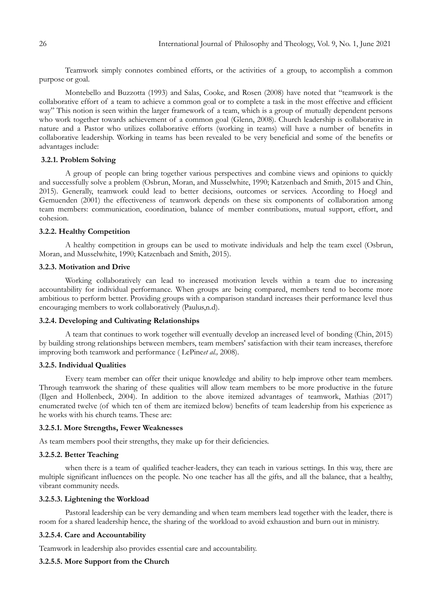Teamwork simply connotes combined efforts, or the activities of a group, to accomplish a common purpose or goal.

Montebello and Buzzotta (1993) and Salas, Cooke, and Rosen (2008) have noted that "teamwork is the collaborative effort of a team to achieve a common goal or to complete a task in the most effective and efficient way" This notion is seen within the larger framework of a team, which is a group of mutually dependent persons who work together towards achievement of a common goal (Glenn, 2008). Church leadership is collaborative in nature and a Pastor who utilizes collaborative efforts (working in teams) will have a number of benefits in collaborative leadership. Working in teams has been revealed to be very beneficial and some of the benefits or advantages include:

## **3.2.1. Problem Solving**

A group of people can bring together various perspectives and combine views and opinions to quickly and successfully solve a problem (Osbrun, Moran, and Musselwhite, 1990; Katzenbach and Smith, 2015 and Chin, 2015). Generally, teamwork could lead to better decisions, outcomes or services. According to Hoegl and Gemuenden (2001) the effectiveness of teamwork depends on these six components of collaboration among team members: communication, coordination, balance of member contributions, mutual support, effort, and cohesion.

#### **3.2.2. Healthy Competition**

A healthy competition in groups can be used to motivate individuals and help the team excel (Osbrun, Moran, and Musselwhite, 1990; Katzenbach and Smith, 2015).

### **3.2.3. Motivation and Drive**

Working collaboratively can lead to increased motivation levels within a team due to increasing accountability for individual performance. When groups are being compared, members tend to become more ambitious to perform better. Providing groups with a comparison standard increases their performance level thus encouraging members to work collaboratively (Paulus,n.d).

#### **3.2.4. Developing and Cultivating Relationships**

A team that continues to work together will eventually develop an increased level of bonding (Chin, 2015) by building strong relationships between members, team members' satisfaction with their team increases, therefore improving both teamwork and performance ( LePine*et al.,* 2008).

#### **3.2.5. Individual Qualities**

Every team member can offer their unique knowledge and ability to help improve other team members. Through teamwork the sharing of these qualities will allow team members to be more productive in the future (Ilgen and Hollenbeck, 2004). In addition to the above itemized advantages of teamwork, Mathias (2017) enumerated twelve (of which ten of them are itemized below) benefits of team leadership from his experience as he works with his church teams. These are:

#### **3.2.5.1. More Strengths, Fewer Weaknesses**

As team members pool their strengths, they make up for their deficiencies.

## **3.2.5.2. Better Teaching**

when there is a team of qualified teacher-leaders, they can teach in various settings. In this way, there are multiple significant influences on the people. No one teacher has all the gifts, and all the balance, that a healthy, vibrant community needs.

## **3.2.5.3. Lightening the Workload**

Pastoral leadership can be very demanding and when team members lead together with the leader, there is room for a shared leadership hence, the sharing of the workload to avoid exhaustion and burn out in ministry.

## **3.2.5.4. Care and Accountability**

Teamwork in leadership also provides essential care and accountability.

### **3.2.5.5. More Support from the Church**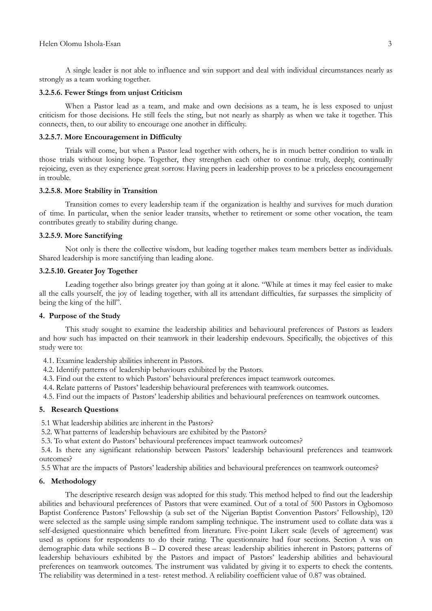A single leader is not able to influence and win support and deal with individual circumstances nearly as strongly as a team working together.

### **3.2.5.6. Fewer Stings from unjust Criticism**

When a Pastor lead as a team, and make and own decisions as a team, he is less exposed to unjust criticism for those decisions. He still feels the sting, but not nearly as sharply as when we take it together. This connects, then, to our ability to encourage one another in difficulty.

#### **3.2.5.7. More Encouragement in Difficulty**

Trials will come, but when a Pastor lead together with others, he is in much better condition to walk in those trials without losing hope. Together, they strengthen each other to continue truly, deeply, continually rejoicing, even as they experience great sorrow. Having peers in leadership proves to be a priceless encouragement in trouble.

#### **3.2.5.8. More Stability in Transition**

Transition comes to every leadership team if the organization is healthy and survives for much duration of time. In particular, when the senior leader transits, whether to retirement or some other vocation, the team contributes greatly to stability during change.

## **3.2.5.9. More Sanctifying**

Not only is there the collective wisdom, but leading together makes team members better as individuals. Shared leadership is more sanctifying than leading alone.

## **3.2.5.10. Greater Joy Together**

Leading together also brings greater joy than going at it alone. "While at times it may feel easier to make all the calls yourself, the joy of leading together, with all its attendant difficulties, far surpasses the simplicity of being the king of the hill".

## **4. Purpose of the Study**

This study sought to examine the leadership abilities and behavioural preferences of Pastors as leaders and how such has impacted on their teamwork in their leadership endevours. Specifically, the objectives of this study were to:

4.1. Examine leadership abilities inherent in Pastors.

- 4.2. Identify patterns of leadership behaviours exhibited by the Pastors.
- 4.3. Find out the extent to which Pastors" behavioural preferences impact teamwork outcomes.
- 4.4. Relate patterns of Pastors' leadership behavioural preferences with teamwork outcomes.

4.5. Find out the impacts of Pastors" leadership abilities and behavioural preferences on teamwork outcomes.

#### **5. Research Questions**

5.1 What leadership abilities are inherent in the Pastors?

- 5.2. What patterns of leadership behaviours are exhibited by the Pastors?
- 5.3. To what extent do Pastors" behavioural preferences impact teamwork outcomes?

5.4. Is there any significant relationship between Pastors" leadership behavioural preferences and teamwork outcomes?

5.5 What are the impacts of Pastors" leadership abilities and behavioural preferences on teamwork outcomes?

## **6. Methodology**

The descriptive research design was adopted for this study. This method helped to find out the leadership abilities and behavioural preferences of Pastors that were examined. Out of a total of 500 Pastors in Ogbomoso Baptist Conference Pastors' Fellowship (a sub set of the Nigerian Baptist Convention Pastors' Fellowship), 120 were selected as the sample using simple random sampling technique. The instrument used to collate data was a self-designed questionnaire which benefitted from literature. Five-point Likert scale (levels of agreement) was used as options for respondents to do their rating. The questionnaire had four sections. Section A was on demographic data while sections B – D covered these areas: leadership abilities inherent in Pastors; patterns of leadership behaviours exhibited by the Pastors and impact of Pastors" leadership abilities and behavioural preferences on teamwork outcomes. The instrument was validated by giving it to experts to check the contents. The reliability was determined in a test- retest method. A reliability coefficient value of 0.87 was obtained.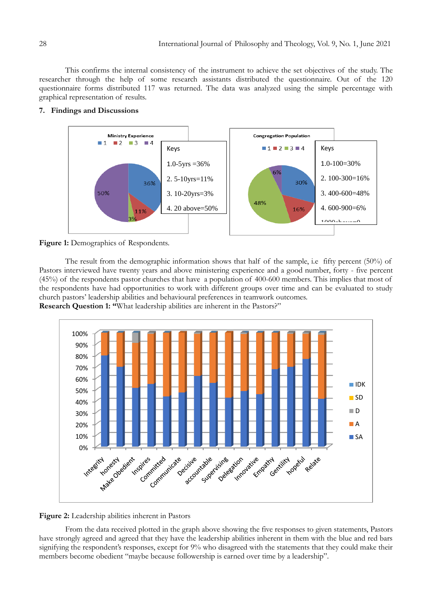This confirms the internal consistency of the instrument to achieve the set objectives of the study. The researcher through the help of some research assistants distributed the questionnaire. Out of the 120 questionnaire forms distributed 117 was returned. The data was analyzed using the simple percentage with graphical representation of results.

## **7. Findings and Discussions**





The result from the demographic information shows that half of the sample, i.e fifty percent (50%) of Pastors interviewed have twenty years and above ministering experience and a good number, forty - five percent (45%) of the respondents pastor churches that have a population of 400-600 members. This implies that most of the respondents have had opportunities to work with different groups over time and can be evaluated to study church pastors" leadership abilities and behavioural preferences in teamwork outcomes. **Research Question 1: "**What leadership abilities are inherent in the Pastors?"





From the data received plotted in the graph above showing the five responses to given statements, Pastors have strongly agreed and agreed that they have the leadership abilities inherent in them with the blue and red bars signifying the respondent's responses, except for 9% who disagreed with the statements that they could make their members become obedient "maybe because followership is earned over time by a leadership".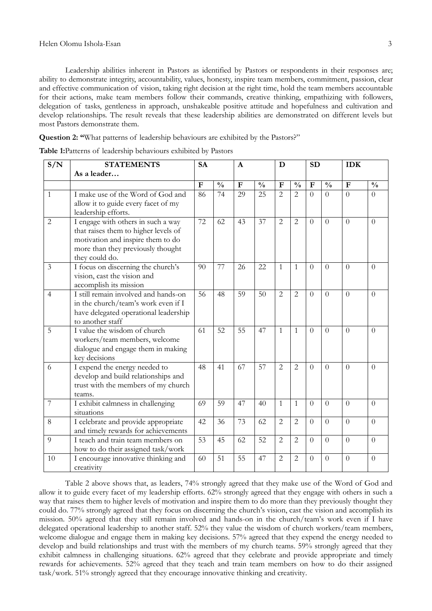Leadership abilities inherent in Pastors as identified by Pastors or respondents in their responses are; ability to demonstrate integrity, accountability, values, honesty, inspire team members, commitment, passion, clear and effective communication of vision, taking right decision at the right time, hold the team members accountable for their actions, make team members follow their commands, creative thinking, empathizing with followers, delegation of tasks, gentleness in approach, unshakeable positive attitude and hopefulness and cultivation and develop relationships. The result reveals that these leadership abilities are demonstrated on different levels but most Pastors demonstrate them.

**Question 2: "**What patterns of leadership behaviours are exhibited by the Pastors?"

| S/N | <b>STATEMENTS</b>                                                                                                                                                      | <b>SA</b><br>$\mathbf{A}$ |               |              | D             |                | <b>SD</b>      |              | <b>IDK</b>     |             |                |
|-----|------------------------------------------------------------------------------------------------------------------------------------------------------------------------|---------------------------|---------------|--------------|---------------|----------------|----------------|--------------|----------------|-------------|----------------|
|     | As a leader                                                                                                                                                            |                           |               |              |               |                |                |              |                |             |                |
|     |                                                                                                                                                                        | $\overline{F}$            | $\frac{0}{0}$ | $\mathbf{F}$ | $\frac{0}{0}$ | $\overline{F}$ | $\frac{0}{0}$  | $\mathbf{F}$ | $\frac{0}{0}$  | $\mathbf F$ | $\frac{0}{0}$  |
| 1   | I make use of the Word of God and<br>allow it to guide every facet of my<br>leadership efforts.                                                                        | 86                        | 74            | 29           | 25            | $\overline{2}$ | $\overline{2}$ | $\theta$     | $\theta$       | $\Omega$    | $\theta$       |
| 2   | I engage with others in such a way<br>that raises them to higher levels of<br>motivation and inspire them to do<br>more than they previously thought<br>they could do. | $\overline{72}$           | 62            | 43           | 37            | $\overline{2}$ | $\overline{2}$ | $\theta$     | $\Omega$       | $\Omega$    | $\theta$       |
| 3   | I focus on discerning the church's<br>vision, cast the vision and<br>accomplish its mission                                                                            | 90                        | 77            | 26           | 22            | 1              | $\mathbf{1}$   | $\Omega$     | $\Omega$       | $\Omega$    | $\theta$       |
| 4   | I still remain involved and hands-on<br>in the church/team's work even if I<br>have delegated operational leadership<br>to another staff                               | 56                        | 48            | 59           | 50            | $\overline{2}$ | $\overline{2}$ | $\theta$     | $\Omega$       | $\theta$    | $\theta$       |
| 5   | I value the wisdom of church<br>workers/team members, welcome<br>dialogue and engage them in making<br>key decisions                                                   | 61                        | 52            | 55           | 47            | $\mathbf{1}$   | $\mathbf{1}$   | $\theta$     | $\theta$       | $\theta$    | $\Omega$       |
| 6   | I expend the energy needed to<br>develop and build relationships and<br>trust with the members of my church<br>teams.                                                  | 48                        | 41            | 67           | 57            | 2              | 2              | $\Omega$     | $\theta$       | $\Omega$    | $\theta$       |
| 7   | I exhibit calmness in challenging<br>situations                                                                                                                        | 69                        | 59            | 47           | 40            | $\mathbf{1}$   | $\mathbf{1}$   | $\theta$     | $\overline{0}$ | $\theta$    | $\theta$       |
| 8   | I celebrate and provide appropriate<br>and timely rewards for achievements                                                                                             | 42                        | 36            | 73           | 62            | $\overline{2}$ | $\overline{2}$ | $\theta$     | $\theta$       | $\theta$    | $\theta$       |
| 9   | I teach and train team members on<br>how to do their assigned task/work                                                                                                | 53                        | 45            | 62           | 52            | $\overline{2}$ | $\overline{2}$ | $\Omega$     | $\theta$       | $\theta$    | $\overline{0}$ |
| 10  | I encourage innovative thinking and<br>creativity                                                                                                                      | 60                        | 51            | 55           | 47            | 2              | $\overline{2}$ | $\theta$     | $\theta$       | $\Omega$    | $\theta$       |

**Table 1:**Patterns of leadership behaviours exhibited by Pastors

Table 2 above shows that, as leaders, 74% strongly agreed that they make use of the Word of God and allow it to guide every facet of my leadership efforts. 62% strongly agreed that they engage with others in such a way that raises them to higher levels of motivation and inspire them to do more than they previously thought they could do. 77% strongly agreed that they focus on discerning the church's vision, cast the vision and accomplish its mission. 50% agreed that they still remain involved and hands-on in the church/team"s work even if I have delegated operational leadership to another staff. 52% they value the wisdom of church workers/team members, welcome dialogue and engage them in making key decisions. 57% agreed that they expend the energy needed to develop and build relationships and trust with the members of my church teams. 59% strongly agreed that they exhibit calmness in challenging situations. 62% agreed that they celebrate and provide appropriate and timely rewards for achievements. 52% agreed that they teach and train team members on how to do their assigned task/work. 51% strongly agreed that they encourage innovative thinking and creativity.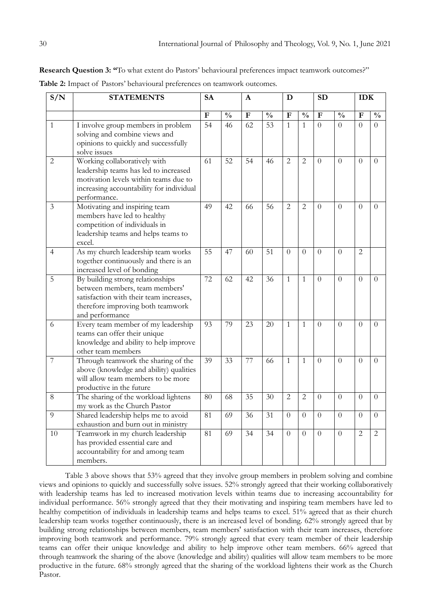**Research Question 3: "**To what extent do Pastors' behavioural preferences impact teamwork outcomes?"

**Table 2:** Impact of Pastors" behavioural preferences on teamwork outcomes.

| S/N            | <b>STATEMENTS</b>                                                                                                                                                          | <b>SA</b>    |                 | A         |                 | D              |                |                |                |                |               |  | <b>SD</b> |  |  | <b>IDK</b> |  |
|----------------|----------------------------------------------------------------------------------------------------------------------------------------------------------------------------|--------------|-----------------|-----------|-----------------|----------------|----------------|----------------|----------------|----------------|---------------|--|-----------|--|--|------------|--|
|                |                                                                                                                                                                            | $\mathbf{F}$ | $\frac{0}{0}$   | ${\bf F}$ | $\frac{0}{0}$   | $\mathbf F$    | $\frac{0}{0}$  | $\mathbf{F}$   | $\frac{0}{0}$  | $\mathbf F$    | $\frac{0}{0}$ |  |           |  |  |            |  |
| $\mathbf{1}$   | I involve group members in problem<br>solving and combine views and<br>opinions to quickly and successfully<br>solve issues                                                | 54           | $\overline{46}$ | 62        | 53              | $\mathbf{1}$   | $\mathbf{1}$   | $\Omega$       | $\Omega$       | $\theta$       | $\Omega$      |  |           |  |  |            |  |
| $\overline{2}$ | Working collaboratively with<br>leadership teams has led to increased<br>motivation levels within teams due to<br>increasing accountability for individual<br>performance. | 61           | 52              | 54        | 46              | $\overline{2}$ | $\overline{2}$ | $\theta$       | $\overline{0}$ | $\Omega$       | $\Omega$      |  |           |  |  |            |  |
| 3              | Motivating and inspiring team<br>members have led to healthy<br>competition of individuals in<br>leadership teams and helps teams to<br>excel.                             | 49           | 42              | 66        | $\overline{56}$ | $\overline{2}$ | $\overline{2}$ | $\overline{0}$ | $\overline{0}$ | $\theta$       | $\Omega$      |  |           |  |  |            |  |
| $\overline{4}$ | As my church leadership team works<br>together continuously and there is an<br>increased level of bonding                                                                  | 55           | 47              | 60        | 51              | $\Omega$       | $\Omega$       | $\Omega$       | $\overline{0}$ | $\overline{2}$ |               |  |           |  |  |            |  |
| 5              | By building strong relationships<br>between members, team members'<br>satisfaction with their team increases,<br>therefore improving both teamwork<br>and performance      | 72           | 62              | 42        | 36              | $\mathbf{1}$   | $\mathbf{1}$   | $\theta$       | $\overline{0}$ | $\theta$       | $\Omega$      |  |           |  |  |            |  |
| 6              | Every team member of my leadership<br>teams can offer their unique<br>knowledge and ability to help improve<br>other team members                                          | 93           | 79              | 23        | 20              | $\mathbf{1}$   | $\mathbf{1}$   | $\Omega$       | $\Omega$       | $\overline{0}$ | $\Omega$      |  |           |  |  |            |  |
| $\overline{7}$ | Through teamwork the sharing of the<br>above (knowledge and ability) qualities<br>will allow team members to be more<br>productive in the future                           | 39           | 33              | 77        | 66              | $\mathbf{1}$   | $\mathbf{1}$   | $\overline{0}$ | $\overline{0}$ | $\theta$       | $\Omega$      |  |           |  |  |            |  |
| 8              | The sharing of the workload lightens<br>my work as the Church Pastor                                                                                                       | 80           | 68              | 35        | 30              | $\overline{2}$ | $\overline{2}$ | $\Omega$       | $\Omega$       | $\Omega$       | $\Omega$      |  |           |  |  |            |  |
| 9              | Shared leadership helps me to avoid<br>exhaustion and burn out in ministry                                                                                                 | 81           | 69              | 36        | 31              | $\Omega$       | $\Omega$       | $\Omega$       | $\Omega$       | $\Omega$       | $\Omega$      |  |           |  |  |            |  |
| 10             | Teamwork in my church leadership<br>has provided essential care and<br>accountability for and among team<br>members.                                                       | 81           | 69              | 34        | 34              | $\Omega$       | $\theta$       | $\theta$       | $\overline{0}$ | $\overline{2}$ | 2             |  |           |  |  |            |  |

Table 3 above shows that 53% agreed that they involve group members in problem solving and combine views and opinions to quickly and successfully solve issues. 52% strongly agreed that their working collaboratively with leadership teams has led to increased motivation levels within teams due to increasing accountability for individual performance. 56% strongly agreed that they their motivating and inspiring team members have led to healthy competition of individuals in leadership teams and helps teams to excel. 51% agreed that as their church leadership team works together continuously, there is an increased level of bonding. 62% strongly agreed that by building strong relationships between members, team members' satisfaction with their team increases, therefore improving both teamwork and performance. 79% strongly agreed that every team member of their leadership teams can offer their unique knowledge and ability to help improve other team members. 66% agreed that through teamwork the sharing of the above (knowledge and ability) qualities will allow team members to be more productive in the future. 68% strongly agreed that the sharing of the workload lightens their work as the Church Pastor.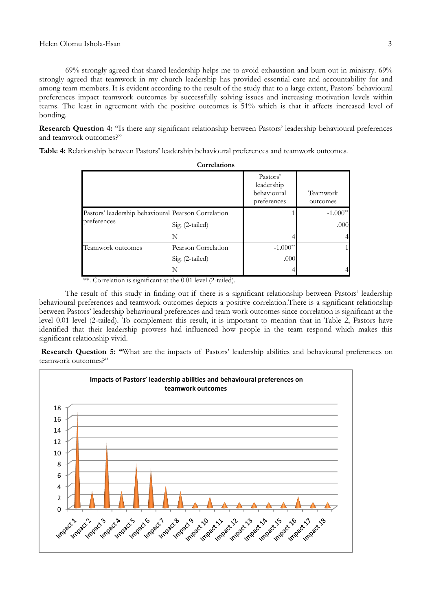69% strongly agreed that shared leadership helps me to avoid exhaustion and burn out in ministry. 69% strongly agreed that teamwork in my church leadership has provided essential care and accountability for and among team members. It is evident according to the result of the study that to a large extent, Pastors' behavioural preferences impact teamwork outcomes by successfully solving issues and increasing motivation levels within

bonding. **Research Question 4:** "Is there any significant relationship between Pastors' leadership behavioural preferences and teamwork outcomes?"

teams. The least in agreement with the positive outcomes is 51% which is that it affects increased level of

**Table 4:** Relationship between Pastors" leadership behavioural preferences and teamwork outcomes.

|                                                     | ourcianum           |                                                      |                      |
|-----------------------------------------------------|---------------------|------------------------------------------------------|----------------------|
|                                                     |                     | Pastors'<br>leadership<br>behavioural<br>preferences | Teamwork<br>outcomes |
| Pastors' leadership behavioural Pearson Correlation |                     |                                                      | $-1.000**$           |
| preferences                                         | Sig. (2-tailed)     |                                                      | .000                 |
|                                                     | N                   |                                                      | 4                    |
| Teamwork outcomes                                   | Pearson Correlation | $-1.000**$                                           |                      |
|                                                     | Sig. (2-tailed)     | .000                                                 |                      |
|                                                     | N                   |                                                      |                      |

**Correlations**

\*\*. Correlation is significant at the 0.01 level (2-tailed).

The result of this study in finding out if there is a significant relationship between Pastors" leadership behavioural preferences and teamwork outcomes depicts a positive correlation.There is a significant relationship between Pastors" leadership behavioural preferences and team work outcomes since correlation is significant at the level 0.01 level (2-tailed). To complement this result, it is important to mention that in Table 2, Pastors have identified that their leadership prowess had influenced how people in the team respond which makes this significant relationship vivid.

**Research Question 5: "What are the impacts of Pastors' leadership abilities and behavioural preferences on** teamwork outcomes?"

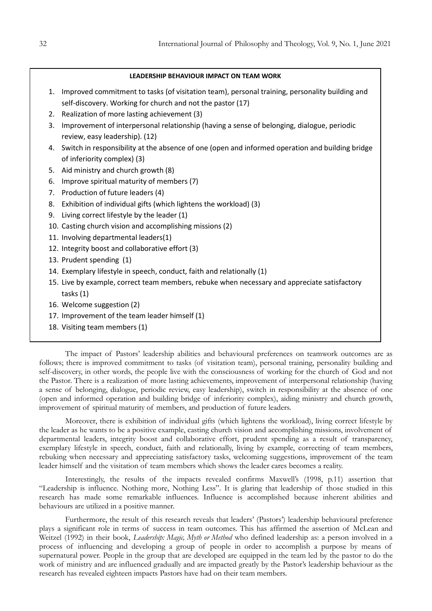#### **LEADERSHIP BEHAVIOUR IMPACT ON TEAM WORK**

- 1. Improved commitment to tasks (of visitation team), personal training, personality building and self-discovery. Working for church and not the pastor (17)
- 2. Realization of more lasting achievement (3)
- 3. Improvement of interpersonal relationship (having a sense of belonging, dialogue, periodic review, easy leadership). (12)
- 4. Switch in responsibility at the absence of one (open and informed operation and building bridge of inferiority complex) (3)
- 5. Aid ministry and church growth (8)
- 6. Improve spiritual maturity of members (7)
- 7. Production of future leaders (4)
- 8. Exhibition of individual gifts (which lightens the workload) (3)
- 9. Living correct lifestyle by the leader (1)
- 10. Casting church vision and accomplishing missions (2)
- 11. Involving departmental leaders(1)
- 12. Integrity boost and collaborative effort (3)
- 13. Prudent spending (1)
- 14. Exemplary lifestyle in speech, conduct, faith and relationally (1)
- 15. Live by example, correct team members, rebuke when necessary and appreciate satisfactory tasks (1)
- 16. Welcome suggestion (2)
- 17. Improvement of the team leader himself (1)
- 18. Visiting team members (1)

The impact of Pastors" leadership abilities and behavioural preferences on teamwork outcomes are as follows; there is improved commitment to tasks (of visitation team), personal training, personality building and self-discovery, in other words, the people live with the consciousness of working for the church of God and not the Pastor. There is a realization of more lasting achievements, improvement of interpersonal relationship (having a sense of belonging, dialogue, periodic review, easy leadership), switch in responsibility at the absence of one (open and informed operation and building bridge of inferiority complex), aiding ministry and church growth, improvement of spiritual maturity of members, and production of future leaders.

Moreover, there is exhibition of individual gifts (which lightens the workload), living correct lifestyle by the leader as he wants to be a positive example, casting church vision and accomplishing missions, involvement of departmental leaders, integrity boost and collaborative effort, prudent spending as a result of transparency, exemplary lifestyle in speech, conduct, faith and relationally, living by example, correcting of team members, rebuking when necessary and appreciating satisfactory tasks, welcoming suggestions, improvement of the team leader himself and the visitation of team members which shows the leader cares becomes a reality.

Interestingly, the results of the impacts revealed confirms Maxwell's (1998, p.11) assertion that "Leadership is influence. Nothing more, Nothing Less". It is glaring that leadership of those studied in this research has made some remarkable influences. Influence is accomplished because inherent abilities and behaviours are utilized in a positive manner.

Furthermore, the result of this research reveals that leaders' (Pastors') leadership behavioural preference plays a significant role in terms of success in team outcomes. This has affirmed the assertion of McLean and Weitzel (1992) in their book, *Leadership: Magic, Myth or Method* who defined leadership as: a person involved in a process of influencing and developing a group of people in order to accomplish a purpose by means of supernatural power. People in the group that are developed are equipped in the team led by the pastor to do the work of ministry and are influenced gradually and are impacted greatly by the Pastor's leadership behaviour as the research has revealed eighteen impacts Pastors have had on their team members.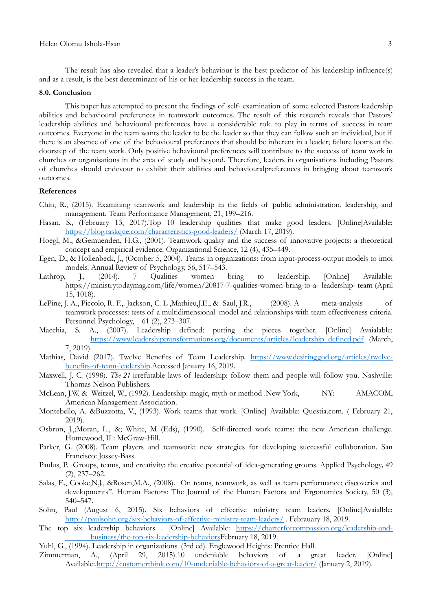The result has also revealed that a leader's behaviour is the best predictor of his leadership influence(s) and as a result, is the best determinant of his or her leadership success in the team.

## **8.0. Conclusion**

This paper has attempted to present the findings of self- examination of some selected Pastors leadership abilities and behavioural preferences in teamwork outcomes. The result of this research reveals that Pastors' leadership abilities and behavioural preferences have a considerable role to play in terms of success in team outcomes. Everyone in the team wants the leader to be the leader so that they can follow such an individual, but if there is an absence of one of the behavioural preferences that should be inherent in a leader; failure looms at the doorstep of the team work. Only positive behavioural preferences will contribute to the success of team work in churches or organisations in the area of study and beyond. Therefore, leaders in organisations including Pastors of churches should endevour to exhibit their abilities and behaviouralpreferences in bringing about teamwork outcomes.

#### **References**

- Chin, R., (2015). Examining teamwork and leadership in the fields of public administration, leadership, and management. Team Performance Management, 21, 199–216.
- Hasan, S., (February 13, 2017).Top 10 leadership qualities that make good leaders. [Online]Available: <https://blog.taskque.com/characteristics-good-leaders/> (March 17, 2019).
- Hoegl, M., &Gemuenden, H.G., (2001). Teamwork quality and the success of innovative projects: a theoretical concept and empirical evidence. Organizational Science, 12 (4), 435–449.
- Ilgen, D., & Hollenbeck, J., (October 5, 2004). Teams in organizations: from input-process-output models to imoi models. Annual Review of Psychology, 56, 517–543.
- Lathrop, J., (2014). 7 Qualities women bring to leadership. [Online] Available: https://ministrytodaymag.com/life/women/20817-7-qualities-women-bring-to-a- leadership- team (April 15, 1018).
- LePine, J. A., Piccolo, R. F.,. Jackson, C. L ,Mathieu,J.E., & Saul, J.R., (2008). A meta-analysis of teamwork processes: tests of a multidimensional model and relationships with team effectiveness criteria. Personnel Psychology, 61 (2), 273–307.
- Macchia, S. A., (2007). Leadership defined: putting the pieces together. [Online] Avaialable: [https://www.leadershiptransformations.org/documents/articles/leadership\\_defined.pdf](https://www.leadershiptransformations.org/documents/articles/leadership_defined.pdf) (March, 7, 2019).
- Mathias, David (2017). Twelve Benefits of Team Leadership. [https://www.desiringgod.org/articles/twelve](https://www.desiringgod.org/articles/twelve-benefits-of-team-leadership)[benefits-of-team-leadership.](https://www.desiringgod.org/articles/twelve-benefits-of-team-leadership)Accessed January 16, 2019.
- Maxwell, J. C. (1998). *The 21* irrefutable laws of leadership: follow them and people will follow you. Nashville: Thomas Nelson Publishers.
- McLean, J.W. & Weitzel, W., (1992). Leadership: magic, myth or method .New York, NY: AMACOM, American Management Association.
- Montebello, A. &Buzzotta, V., (1993). Work teams that work. [Online] Available: Questia.com. ( February 21, 2019).
- Osbrun, J.,;Moran, L., &; White, M (Eds), (1990). Self-directed work teams: the new American challenge. Homewood, IL: McGraw-Hill.
- Parker, G. (2008). Team players and teamwork: new strategies for developing successful collaboration. San Francisco: Jossey-Bass.
- Paulus, P. Groups, teams, and creativity: the creative potential of idea-generating groups*.* Applied Psychology*,* 49 (2), 237–262.
- Salas, E., Cooke,N.J., &Rosen,M.A., (2008). On teams, teamwork, as well as team performance: discoveries and developments". Human Factors: The Journal of the Human Factors and Ergonomics Society, 50 (3), 540–547.
- Sohn, Paul (August 6, 2015). Six behaviors of effective ministry team leaders. [Online]Avaialble: <http://paulsohn.org/six-behaviors-of-effective-ministry-team-leaders/> . Febrauary 18, 2019.
- The top six leadership behaviors . [Online] Available: [https://charterforcompassion.org/leadership-and](https://charterforcompassion.org/leadership-and-%09business/the-top-six-leadership-behaviors)[business/the-top-six-leadership-behaviorsF](https://charterforcompassion.org/leadership-and-%09business/the-top-six-leadership-behaviors)ebruary 18, 2019.
- 
- Yuhl, G., (1994). Leadership in organizations. (3rd ed). Englewood Heights: Prentice Hall. A., (April 29, 2015).10 undeniable behaviors of a great leader. [Online] Available:[.http://customerthink.com/10-undeniable-behaviors-of-a-great-leader/](http://customerthink.com/10-undeniable-behaviors-of-a-great-leader/) (January 2, 2019).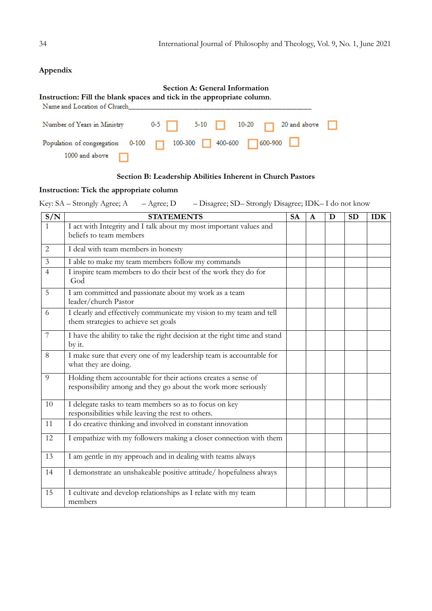# **Appendix**

| Section A: General Information<br>Instruction: Fill the blank spaces and tick in the appropriate column.<br>Name and Location of Church Name of Solid Annual State of Solid Annual State of Solid Annual State of Solid An |                                                                |  |  |  |  |  |  |  |  |
|----------------------------------------------------------------------------------------------------------------------------------------------------------------------------------------------------------------------------|----------------------------------------------------------------|--|--|--|--|--|--|--|--|
|                                                                                                                                                                                                                            | Number of Years in Ministry 0-5 6-10 5-10 10-20 6 20 and above |  |  |  |  |  |  |  |  |
| 1000 and above                                                                                                                                                                                                             | Population of congregation 0-100 0 100-300 400-600 600-900 0   |  |  |  |  |  |  |  |  |

# **Section B: Leadership Abilities Inherent in Church Pastors**

## **Instruction: Tick the appropriate column**

Key: SA – Strongly Agree; A – Agree; D – Disagree; SD– Strongly Disagree; IDK– I do not know

| S/N            | <b>STATEMENTS</b>                                                                                                               | <b>SA</b> | A | D | <b>SD</b> | <b>IDK</b> |
|----------------|---------------------------------------------------------------------------------------------------------------------------------|-----------|---|---|-----------|------------|
|                | I act with Integrity and I talk about my most important values and<br>beliefs to team members                                   |           |   |   |           |            |
| 2              | I deal with team members in honesty                                                                                             |           |   |   |           |            |
| $\mathfrak{Z}$ | I able to make my team members follow my commands                                                                               |           |   |   |           |            |
| $\overline{4}$ | I inspire team members to do their best of the work they do for<br>God                                                          |           |   |   |           |            |
| 5              | I am committed and passionate about my work as a team<br>leader/church Pastor                                                   |           |   |   |           |            |
| 6              | I clearly and effectively communicate my vision to my team and tell<br>them strategies to achieve set goals                     |           |   |   |           |            |
| $\overline{7}$ | I have the ability to take the right decision at the right time and stand<br>by it.                                             |           |   |   |           |            |
| 8              | I make sure that every one of my leadership team is accountable for<br>what they are doing.                                     |           |   |   |           |            |
| 9              | Holding them accountable for their actions creates a sense of<br>responsibility among and they go about the work more seriously |           |   |   |           |            |
| 10             | I delegate tasks to team members so as to focus on key<br>responsibilities while leaving the rest to others.                    |           |   |   |           |            |
| 11             | I do creative thinking and involved in constant innovation                                                                      |           |   |   |           |            |
| 12             | I empathize with my followers making a closer connection with them                                                              |           |   |   |           |            |
| 13             | I am gentle in my approach and in dealing with teams always                                                                     |           |   |   |           |            |
| 14             | I demonstrate an unshakeable positive attitude/ hopefulness always                                                              |           |   |   |           |            |
| 15             | I cultivate and develop relationships as I relate with my team<br>members                                                       |           |   |   |           |            |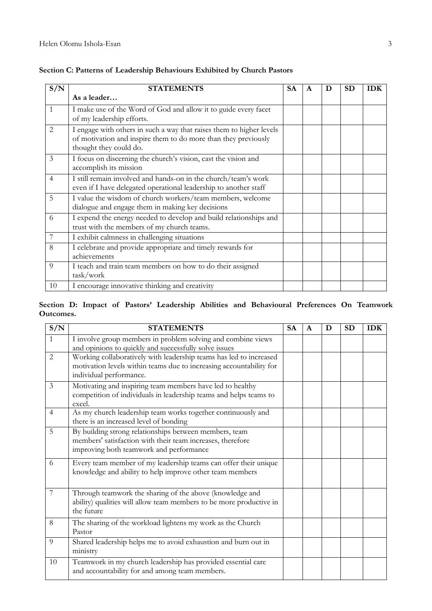| S/N            | <b>STATEMENTS</b>                                                                                                                                                | <b>SA</b> | A | D | <b>SD</b> | <b>IDK</b> |
|----------------|------------------------------------------------------------------------------------------------------------------------------------------------------------------|-----------|---|---|-----------|------------|
|                | As a leader                                                                                                                                                      |           |   |   |           |            |
| $\mathbf{1}$   | I make use of the Word of God and allow it to guide every facet<br>of my leadership efforts.                                                                     |           |   |   |           |            |
| 2              | I engage with others in such a way that raises them to higher levels<br>of motivation and inspire them to do more than they previously<br>thought they could do. |           |   |   |           |            |
| 3              | I focus on discerning the church's vision, cast the vision and<br>accomplish its mission                                                                         |           |   |   |           |            |
| $\overline{4}$ | I still remain involved and hands-on in the church/team's work<br>even if I have delegated operational leadership to another staff                               |           |   |   |           |            |
| 5              | I value the wisdom of church workers/team members, welcome<br>dialogue and engage them in making key decisions                                                   |           |   |   |           |            |
| 6              | I expend the energy needed to develop and build relationships and<br>trust with the members of my church teams.                                                  |           |   |   |           |            |
| 7              | I exhibit calmness in challenging situations                                                                                                                     |           |   |   |           |            |
| 8              | I celebrate and provide appropriate and timely rewards for<br>achievements                                                                                       |           |   |   |           |            |
| 9              | I teach and train team members on how to do their assigned<br>task/work                                                                                          |           |   |   |           |            |
| 10             | I encourage innovative thinking and creativity                                                                                                                   |           |   |   |           |            |

# **Section C: Patterns of Leadership Behaviours Exhibited by Church Pastors**

## **Section D: Impact of Pastors' Leadership Abilities and Behavioural Preferences On Teamwork Outcomes.**

| S/N            | <b>STATEMENTS</b>                                                                                                                                                    | <b>SA</b> | A | D | <b>SD</b> | <b>IDK</b> |
|----------------|----------------------------------------------------------------------------------------------------------------------------------------------------------------------|-----------|---|---|-----------|------------|
| $\mathbf{1}$   | I involve group members in problem solving and combine views<br>and opinions to quickly and successfully solve issues                                                |           |   |   |           |            |
| $\overline{2}$ | Working collaboratively with leadership teams has led to increased<br>motivation levels within teams due to increasing accountability for<br>individual performance. |           |   |   |           |            |
| 3              | Motivating and inspiring team members have led to healthy<br>competition of individuals in leadership teams and helps teams to<br>excel.                             |           |   |   |           |            |
| $\overline{4}$ | As my church leadership team works together continuously and<br>there is an increased level of bonding                                                               |           |   |   |           |            |
| 5              | By building strong relationships between members, team<br>members' satisfaction with their team increases, therefore<br>improving both teamwork and performance      |           |   |   |           |            |
| 6              | Every team member of my leadership teams can offer their unique<br>knowledge and ability to help improve other team members                                          |           |   |   |           |            |
| 7              | Through teamwork the sharing of the above (knowledge and<br>ability) qualities will allow team members to be more productive in<br>the future                        |           |   |   |           |            |
| 8              | The sharing of the workload lightens my work as the Church<br>Pastor                                                                                                 |           |   |   |           |            |
| 9              | Shared leadership helps me to avoid exhaustion and burn out in<br>ministry                                                                                           |           |   |   |           |            |
| 10             | Teamwork in my church leadership has provided essential care<br>and accountability for and among team members.                                                       |           |   |   |           |            |